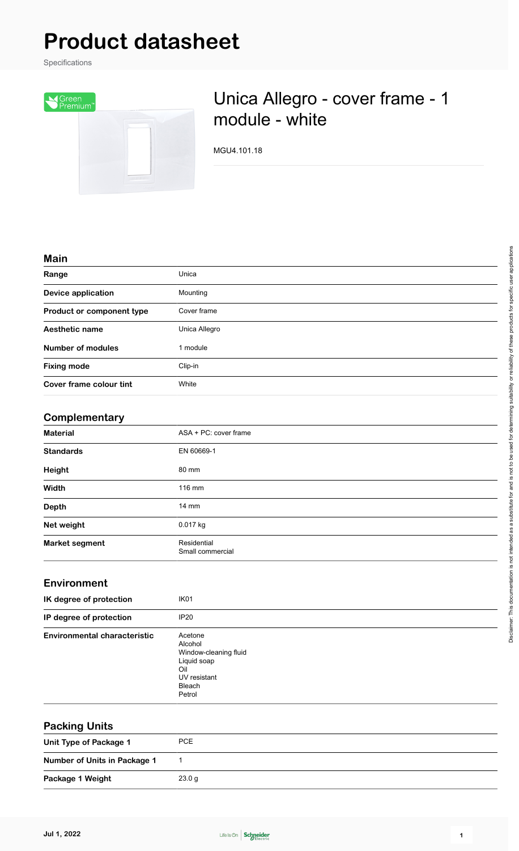# **Product datasheet**

Specifications



## Unica Allegro - cover frame - 1 module - white

MGU4.101.18

#### **Main**

| Range                     | Unica         |
|---------------------------|---------------|
| <b>Device application</b> | Mounting      |
| Product or component type | Cover frame   |
| Aesthetic name            | Unica Allegro |
| Number of modules         | 1 module      |
| <b>Fixing mode</b>        | Clip-in       |
| Cover frame colour tint   | White         |
|                           |               |

#### **Complementary**

| <b>Material</b>       | ASA + PC: cover frame           |  |
|-----------------------|---------------------------------|--|
| <b>Standards</b>      | EN 60669-1                      |  |
| Height                | 80 mm                           |  |
| Width                 | 116 mm                          |  |
| <b>Depth</b>          | $14 \text{ mm}$                 |  |
| Net weight            | 0.017 kg                        |  |
| <b>Market segment</b> | Residential<br>Small commercial |  |

#### **Environment**

| IK degree of protection             | IK <sub>01</sub>                                                                                      |
|-------------------------------------|-------------------------------------------------------------------------------------------------------|
| IP degree of protection             | IP20                                                                                                  |
| <b>Environmental characteristic</b> | Acetone<br>Alcohol<br>Window-cleaning fluid<br>Liquid soap<br>Oil<br>UV resistant<br>Bleach<br>Petrol |

| <b>Packing Units</b>         |            |
|------------------------------|------------|
| Unit Type of Package 1       | <b>PCE</b> |
| Number of Units in Package 1 |            |
| Package 1 Weight             | 23.0 g     |

 $\overline{\phantom{0}}$